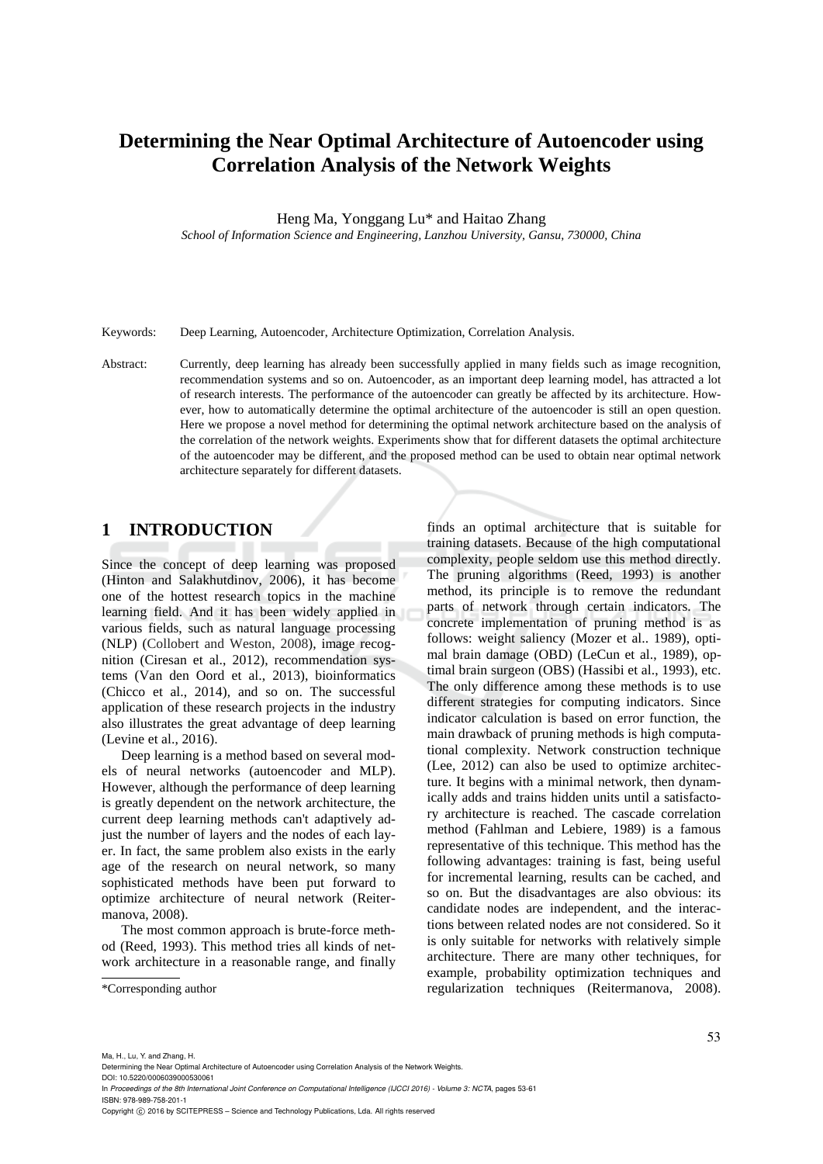# **Determining the Near Optimal Architecture of Autoencoder using Correlation Analysis of the Network Weights**

Heng Ma, Yonggang Lu\* and Haitao Zhang

*School of Information Science and Engineering, Lanzhou University, Gansu, 730000, China* 

Keywords: Deep Learning, Autoencoder, Architecture Optimization, Correlation Analysis.

Abstract: Currently, deep learning has already been successfully applied in many fields such as image recognition, recommendation systems and so on. Autoencoder, as an important deep learning model, has attracted a lot of research interests. The performance of the autoencoder can greatly be affected by its architecture. However, how to automatically determine the optimal architecture of the autoencoder is still an open question. Here we propose a novel method for determining the optimal network architecture based on the analysis of the correlation of the network weights. Experiments show that for different datasets the optimal architecture of the autoencoder may be different, and the proposed method can be used to obtain near optimal network architecture separately for different datasets.

## **1 INTRODUCTION**

Since the concept of deep learning was proposed (Hinton and Salakhutdinov, 2006), it has become one of the hottest research topics in the machine learning field. And it has been widely applied in various fields, such as natural language processing (NLP) (Collobert and Weston, 2008), image recognition (Ciresan et al., 2012), recommendation systems (Van den Oord et al., 2013), bioinformatics (Chicco et al., 2014), and so on. The successful application of these research projects in the industry also illustrates the great advantage of deep learning (Levine et al., 2016).

Deep learning is a method based on several models of neural networks (autoencoder and MLP). However, although the performance of deep learning is greatly dependent on the network architecture, the current deep learning methods can't adaptively adjust the number of layers and the nodes of each layer. In fact, the same problem also exists in the early age of the research on neural network, so many sophisticated methods have been put forward to optimize architecture of neural network (Reitermanova, 2008).

The most common approach is brute-force method (Reed, 1993). This method tries all kinds of network architecture in a reasonable range, and finally

finds an optimal architecture that is suitable for training datasets. Because of the high computational complexity, people seldom use this method directly. The pruning algorithms (Reed, 1993) is another method, its principle is to remove the redundant parts of network through certain indicators. The concrete implementation of pruning method is as follows: weight saliency (Mozer et al.. 1989), optimal brain damage (OBD) (LeCun et al., 1989), optimal brain surgeon (OBS) (Hassibi et al., 1993), etc. The only difference among these methods is to use different strategies for computing indicators. Since indicator calculation is based on error function, the main drawback of pruning methods is high computational complexity. Network construction technique (Lee, 2012) can also be used to optimize architecture. It begins with a minimal network, then dynamically adds and trains hidden units until a satisfactory architecture is reached. The cascade correlation method (Fahlman and Lebiere, 1989) is a famous representative of this technique. This method has the following advantages: training is fast, being useful for incremental learning, results can be cached, and so on. But the disadvantages are also obvious: its candidate nodes are independent, and the interactions between related nodes are not considered. So it is only suitable for networks with relatively simple architecture. There are many other techniques, for example, probability optimization techniques and regularization techniques (Reitermanova, 2008).

In *Proceedings of the 8th International Joint Conference on Computational Intelligence (IJCCI 2016) - Volume 3: NCTA*, pages 53-61 ISBN: 978-989-758-201-1

<sup>\*</sup>Corresponding author

Ma, H., Lu, Y. and Zhang, H.

Determining the Near Optimal Architecture of Autoencoder using Correlation Analysis of the Network Weights. DOI: 10.5220/0006039000530061

Copyright © 2016 by SCITEPRESS - Science and Technology Publications, Lda. All rights reserved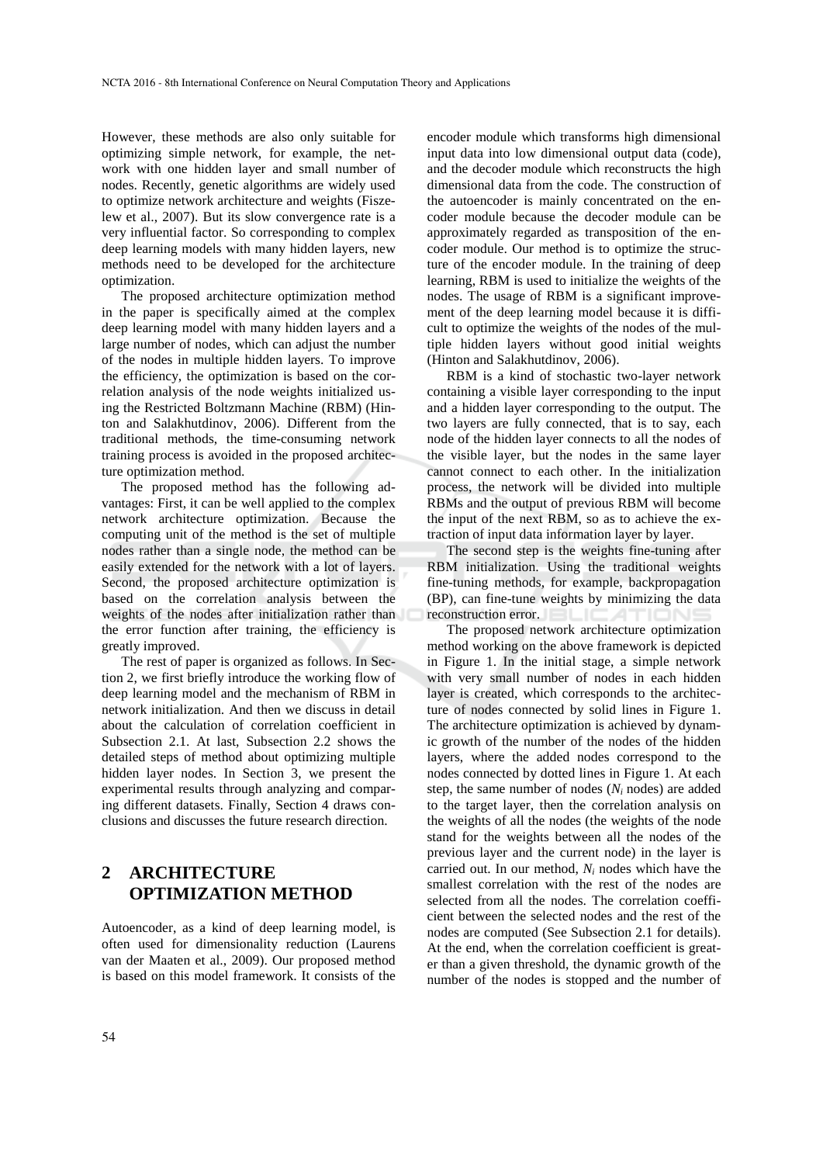However, these methods are also only suitable for optimizing simple network, for example, the network with one hidden layer and small number of nodes. Recently, genetic algorithms are widely used to optimize network architecture and weights (Fiszelew et al., 2007). But its slow convergence rate is a very influential factor. So corresponding to complex deep learning models with many hidden layers, new methods need to be developed for the architecture optimization.

The proposed architecture optimization method in the paper is specifically aimed at the complex deep learning model with many hidden layers and a large number of nodes, which can adjust the number of the nodes in multiple hidden layers. To improve the efficiency, the optimization is based on the correlation analysis of the node weights initialized using the Restricted Boltzmann Machine (RBM) (Hinton and Salakhutdinov, 2006). Different from the traditional methods, the time-consuming network training process is avoided in the proposed architecture optimization method.

The proposed method has the following advantages: First, it can be well applied to the complex network architecture optimization. Because the computing unit of the method is the set of multiple nodes rather than a single node, the method can be easily extended for the network with a lot of layers. Second, the proposed architecture optimization is based on the correlation analysis between the weights of the nodes after initialization rather than the error function after training, the efficiency is greatly improved.

The rest of paper is organized as follows. In Section 2, we first briefly introduce the working flow of deep learning model and the mechanism of RBM in network initialization. And then we discuss in detail about the calculation of correlation coefficient in Subsection 2.1. At last, Subsection 2.2 shows the detailed steps of method about optimizing multiple hidden layer nodes. In Section 3, we present the experimental results through analyzing and comparing different datasets. Finally, Section 4 draws conclusions and discusses the future research direction.

## **2 ARCHITECTURE OPTIMIZATION METHOD**

Autoencoder, as a kind of deep learning model, is often used for dimensionality reduction (Laurens van der Maaten et al., 2009). Our proposed method is based on this model framework. It consists of the encoder module which transforms high dimensional input data into low dimensional output data (code), and the decoder module which reconstructs the high dimensional data from the code. The construction of the autoencoder is mainly concentrated on the encoder module because the decoder module can be approximately regarded as transposition of the encoder module. Our method is to optimize the structure of the encoder module. In the training of deep learning, RBM is used to initialize the weights of the nodes. The usage of RBM is a significant improvement of the deep learning model because it is difficult to optimize the weights of the nodes of the multiple hidden layers without good initial weights (Hinton and Salakhutdinov, 2006).

RBM is a kind of stochastic two-layer network containing a visible layer corresponding to the input and a hidden layer corresponding to the output. The two layers are fully connected, that is to say, each node of the hidden layer connects to all the nodes of the visible layer, but the nodes in the same layer cannot connect to each other. In the initialization process, the network will be divided into multiple RBMs and the output of previous RBM will become the input of the next RBM, so as to achieve the extraction of input data information layer by layer.

The second step is the weights fine-tuning after RBM initialization. Using the traditional weights fine-tuning methods, for example, backpropagation (BP), can fine-tune weights by minimizing the data reconstruction error.

The proposed network architecture optimization method working on the above framework is depicted in Figure 1. In the initial stage, a simple network with very small number of nodes in each hidden layer is created, which corresponds to the architecture of nodes connected by solid lines in Figure 1. The architecture optimization is achieved by dynamic growth of the number of the nodes of the hidden layers, where the added nodes correspond to the nodes connected by dotted lines in Figure 1. At each step, the same number of nodes (*N<sup>i</sup>* nodes) are added to the target layer, then the correlation analysis on the weights of all the nodes (the weights of the node stand for the weights between all the nodes of the previous layer and the current node) in the layer is carried out. In our method, *N<sup>i</sup>* nodes which have the smallest correlation with the rest of the nodes are selected from all the nodes. The correlation coefficient between the selected nodes and the rest of the nodes are computed (See Subsection 2.1 for details). At the end, when the correlation coefficient is greater than a given threshold, the dynamic growth of the number of the nodes is stopped and the number of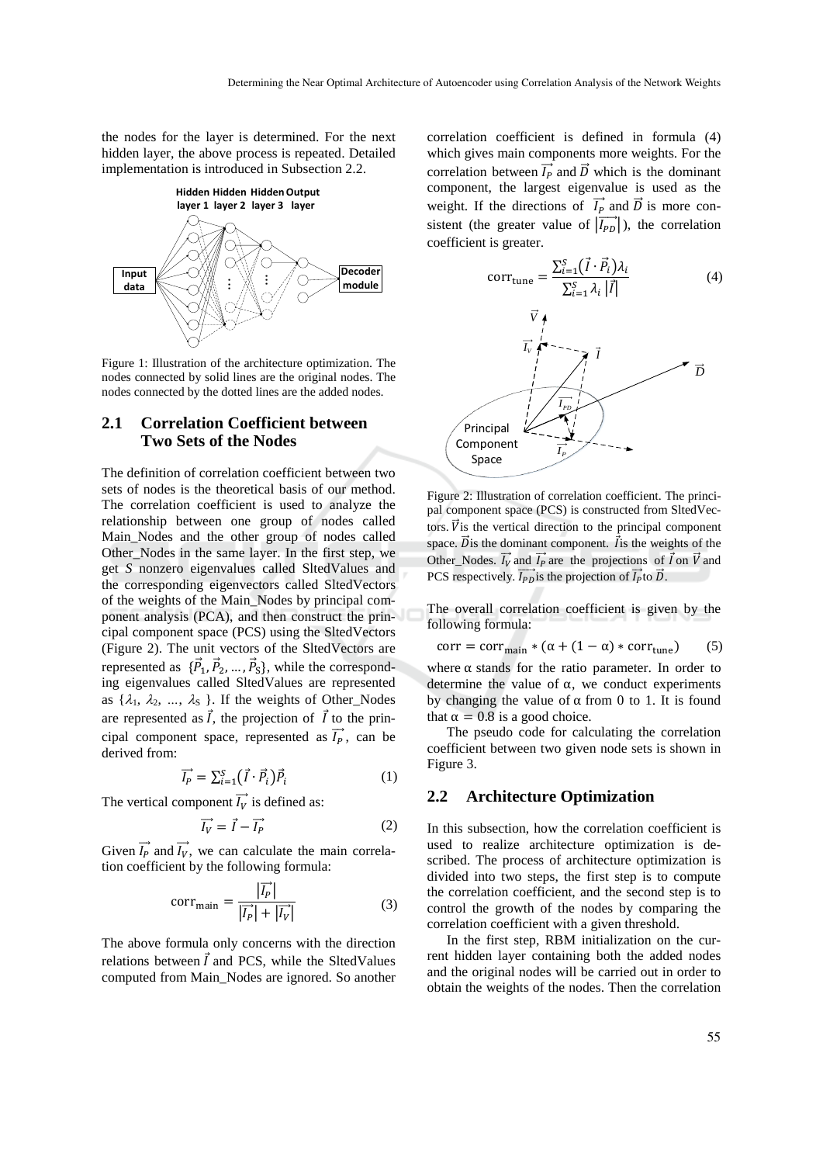the nodes for the layer is determined. For the next hidden layer, the above process is repeated. Detailed implementation is introduced in Subsection 2.2.



Figure 1: Illustration of the architecture optimization. The nodes connected by solid lines are the original nodes. The nodes connected by the dotted lines are the added nodes.

### **2.1 Correlation Coefficient between Two Sets of the Nodes**

The definition of correlation coefficient between two sets of nodes is the theoretical basis of our method. The correlation coefficient is used to analyze the relationship between one group of nodes called Main\_Nodes and the other group of nodes called Other\_Nodes in the same layer. In the first step, we get *S* nonzero eigenvalues called SltedValues and the corresponding eigenvectors called SltedVectors of the weights of the Main\_Nodes by principal component analysis (PCA), and then construct the principal component space (PCS) using the SltedVectors (Figure 2). The unit vectors of the SltedVectors are represented as  $\{\vec{P}_1, \vec{P}_2, ..., \vec{P}_S\}$ , while the corresponding eigenvalues called SltedValues are represented as  $\{\lambda_1, \lambda_2, ..., \lambda_s\}$ . If the weights of Other\_Nodes are represented as  $\vec{l}$ , the projection of  $\vec{l}$  to the principal component space, represented as  $\overrightarrow{I_P}$ , can be derived from:

$$
\overrightarrow{I_P} = \sum_{i=1}^{S} (\overrightarrow{I} \cdot \overrightarrow{P}_i) \overrightarrow{P}_i
$$
 (1)

The vertical component  $\overrightarrow{l_V}$  is defined as:

$$
\overrightarrow{I_V} = \overrightarrow{I} - \overrightarrow{I_P} \tag{2}
$$

Given  $\overrightarrow{I_P}$  and  $\overrightarrow{I_V}$ , we can calculate the main correlation coefficient by the following formula:

$$
corr_{\text{main}} = \frac{|\overrightarrow{I_P}|}{|\overrightarrow{I_P}| + |\overrightarrow{I_V}|} \tag{3}
$$

The above formula only concerns with the direction relations between  $\vec{l}$  and PCS, while the SltedValues computed from Main\_Nodes are ignored. So another

correlation coefficient is defined in formula (4) which gives main components more weights. For the correlation between  $\overrightarrow{l_p}$  and  $\overrightarrow{D}$  which is the dominant component, the largest eigenvalue is used as the weight. If the directions of  $\overrightarrow{I_P}$  and  $\overrightarrow{D}$  is more consistent (the greater value of  $|\overrightarrow{I_{PD}}|$ ), the correlation coefficient is greater.



Figure 2: Illustration of correlation coefficient. The principal component space (PCS) is constructed from SltedVectors.  $\vec{V}$  is the vertical direction to the principal component space.  $\vec{D}$  is the dominant component.  $\vec{I}$  is the weights of the Other\_Nodes.  $\vec{l}_V$  and  $\vec{l}_P$  are the projections of  $\vec{l}$  on  $\vec{V}$  and PCS respectively.  $\overrightarrow{I_{PD}}$  is the projection of  $\overrightarrow{I_P}$  to  $\overrightarrow{D}$ .

The overall correlation coefficient is given by the following formula:

$$
corr = corr_{\text{main}} * (\alpha + (1 - \alpha) * corr_{\text{tune}})
$$
 (5)

where  $\alpha$  stands for the ratio parameter. In order to determine the value of α, we conduct experiments by changing the value of  $\alpha$  from 0 to 1. It is found that  $\alpha = 0.8$  is a good choice.

The pseudo code for calculating the correlation coefficient between two given node sets is shown in Figure 3.

### **2.2 Architecture Optimization**

In this subsection, how the correlation coefficient is used to realize architecture optimization is described. The process of architecture optimization is divided into two steps, the first step is to compute the correlation coefficient, and the second step is to control the growth of the nodes by comparing the correlation coefficient with a given threshold.

In the first step, RBM initialization on the current hidden layer containing both the added nodes and the original nodes will be carried out in order to obtain the weights of the nodes. Then the correlation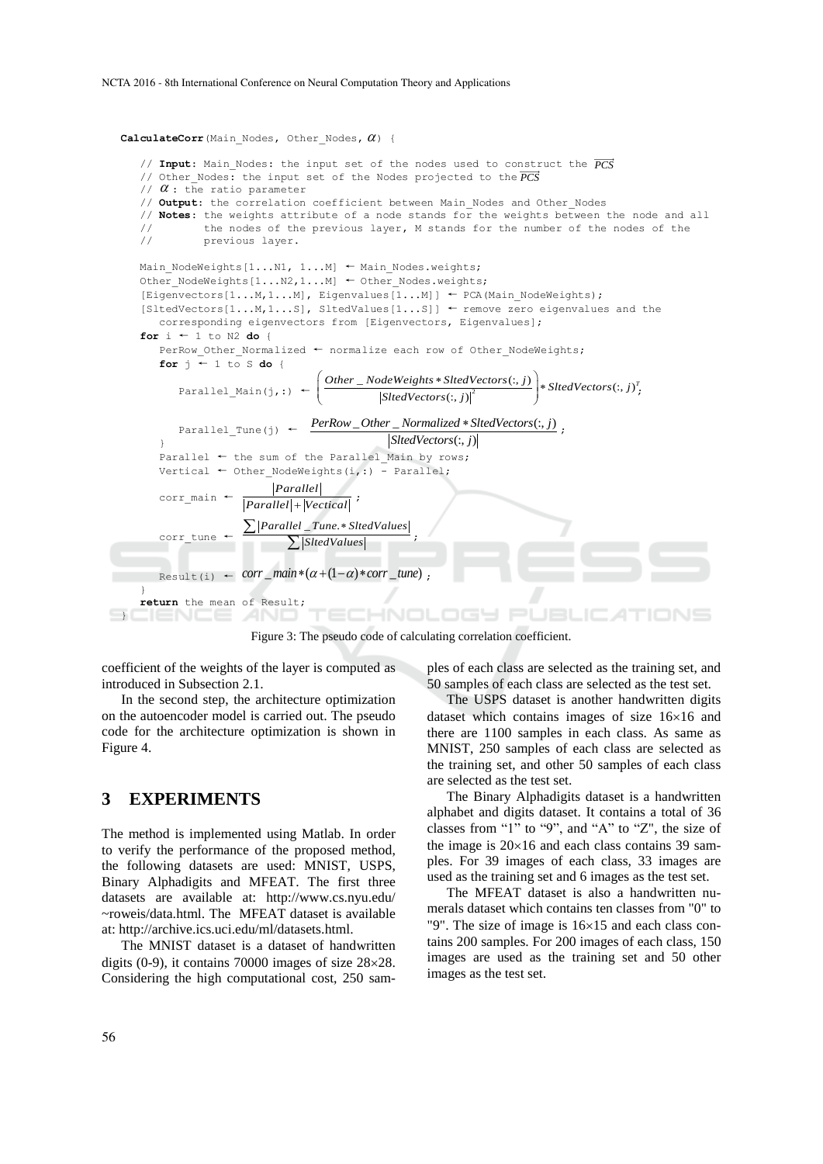```
(In 2010 - Sun International Conference on Neural Computation Theory and Applications<br>
CalculateCorr (Main_Nodes, Other_Nodes, \alpha) {<br>
// Input: Main_Nodes: the input set of the nodes used to construct the \overline{PCS}CalculateCorr (Main_Nodes, Other_Nodes, \alpha) {<br>// Input: Main_Nodes: the input set of the nodes used to cons<br>// Other_Nodes: the input set of the Nodes projected to the \overline{P}<br>// \alpha: the ratio parameter
     CalculateCorr (Main_Nodes, Othe<br>
// Input: Main_Nodes: the input<br>
// Other_Nodes: the input<br>
// \alpha: the ratio parameter<br>
// Output: the correlation
     CalculateCorr (Main_Nodes, Other_Nodes, \alpha) {<br>
// Input: Main_Nodes: the input set of the nodes used to construct the \overline{PC}<br>
// Other_Nodes: the input set of the Nodes projected to the \overline{PC}<br>
// \alpha: the rati
    CalculateCorr(Main Nodes, Other Nodes, \alpha) {
     CalculateCorr (Main_Nodes, Other_Nodes, \alpha) {<br>
// Input: Main_Nodes: the input set of the nodes used to construct the \overline{PCS}<br>
// \alpha: the ratio parameter<br>
// Output: the correlation coefficient between Main_No
                                                                                                                          \alpha and \alpha and \alpha and \alpha and \alpha and \alpha and \alpha and \alpha and \alpha and \alpha and \alpha and \alpha and \alpha and \alpha and \alpha and \alpha and \alpha and \alpha and \alpha and \alpha and \alpha and \alpha and \alpha and \alpha and \alpha 
     // Input: Main_Nodes: the input set of the nodes used to construct the \overline{PCS}<br>// Other_Nodes: the input set of the Nodes projected to the \overline{PCS}<br>// \alpha: the ratio parameter<br>// Output: the correlation coefficien
                                                                                                                                                                                                                                     PCS // Other Nodes: the input set of the Nodes projected to the \overrightarrow{PCS}\alpha : the ratio parameter \alphaMain_Nodeweights (1...N1, 1...M] \rightarrow Other_Nodes.weights<br>
Main_NodeWeights attribute of a node stands for th<br>
Main_NodeWeights[1...N1, 1...M] \rightarrow Main_Nodes.weights;<br>
Other_NodeWeights[1...N2,1...M] \rightarrow Other_Nodes
     (a) Worder: the weights attribute of a node stands for the weights between<br>
(b) the nodes of the previous layer, M stands for the number of the<br>
(d) previous layer.<br>
Main_NodeWeights[1...N1, 1...M] + Main_Nodes.weights;<br>
(
     (1) The modes of the previous layer, M stands for the number of the nodes of<br>
(1) previous layer.<br>
Main_NodeWeights[1...N], 1...M] + Main_Nodes.weights;<br>
(Eigenvectors[1...M,1...M], Eigenvalues[1...M]] + PCA(Main_NodeWeigh
               // previous layer.
     Main_NodeWeights[1...N1, 1...M] ← Main_Nodes.weights;<br>Other_NodeWeights[1...N2,1...M] ← Other_Nodes.weights;<br>[Eigenvectors[1...M,1...M], Eigenvalues[1...M]] ← PCA(Main_Node<br>[SltedVectors[1...M,1...S], SltedValues[1...S]] ←
     Main_NodeWeights[1...<br>Other_NodeWeights[1..<br>[Eigenvectors[1...M,1<br>[SltedVectors[1...M,1<br>corresponding eige<br>for i - 1 to N2 do {<br>PerRow_Other_Norma
     formally 1 to S and S and S and S and S and S and S and S and S and S and S and S and S and S and S and S and S and S and S and S and S and S and S and S and S and S and S and S and S and S and S and S and S and S and S a
                                                                                                  Solution (Eigenvectors, Eigenvalues);<br>
- normalize each row of Other_NodeWeights;<br>
\left(\frac{Other\_NodeWeights * StedVectors(:, j)}{|SitedVectors(:, j)|^2}\right) * StedVectors(rom [Eigenvectors, Eigenvalues];<br>
normalize each row of Other_NodeWeights;<br>
<u>Other_NodeWeights*SltedVectors(:, j)</u> <br>
\left| \frac{\text{SltedVectors}(:,j)}{} \right|^2 <br>
SltedVectors(:, j)<sup>2</sup>
                      PerRow Other Normalized \leftarrow normalize each row of Other NodeWeights;
     FerRow_Other_Normalized = hormalize each row of Other_Nodeweight<br>
for j \leftarrow 1 to S do {<br>
Parallel_Main(j,:) \leftarrow \left(\frac{Other\_NodeWeights * StedVectors(:,j)}{|StedVectors(:,j)|^2}\right) * Stee<br>
Parallel_Tune(j) \leftarrow \frac{PerRow\_Other\_Normalized * StedVectors(:,j)}{|StedVectors(:,j)|};
     Parallel Main(j,:) \leftarrow \leftarrow \frac{|\mathcal{C}_{l_1}, \mathcal{U}_{l_2}, \dots, \mathcal{U}_{l_k}|^2}{|\mathcal{C}_{l_1}, \mathcal{U}_{l_2}, \dots, \mathcal{U}_{l_k}|^2} * Sited Vectors(:, j);
                                                                                               |$StedVectors(:, j)]^2 \frac{PerRow\_Other\_Normalized *StedVectors(:, j)]^2}{\sqrt{PerRow\_Other\_Normalized *StedVectors(i, j)}}|SttedVectors(:, j)|^2 )<br>
- Other_Normalized * StedVectors(:, j)SltedVectors j

                                                                                                                                                                   \frac{d * S}{(:, j)} }
                                                                e sum of the Paral.<br>
her_NodeWeights(i,<br>
Parallel | Vectical | Y<br>
Parallel | + | Vectical | i
                       Parallel \leftarrow the sum of the Parallel Main by rows;
                       Vertical \leftarrow Other_NodeWeights(i,:) - Parallel;
                                                                       Parallel 7 .:) - Para<br>
Parallel 7<br>
Parallel - Yectical 7<br>
Parallel _Tune.* SltedValues<br>
7 SltedValues 7
                                                                      Parallel
     corr_main \leftarrow \frac{1}{\left|\mathbf{p}-\mathbf{u}\right|+\left|\mathbf{v}\right|+\left|\mathbf{v}\right|+\left|\mathbf{v}\right|+\left|\mathbf{v}\right|+\left|\mathbf{v}\right|+\left|\mathbf{v}\right|+\left|\mathbf{v}\right|+\left|\mathbf{v}\right|+\left|\mathbf{v}\right|+\left|\mathbf{v}\right|+\left|\mathbf{v}\right|+\left|\mathbf{v}\right|+\left|\mathbf{v}\right|+\left|\mathbf{v}\right|+\left|\mathbf{v}\right|+\left|\mathbf{v}\right|+\left|\mathbf{v}\right|+\left|\mathbf{v}\right|+\left|\corr_main \leftarrow \frac{|Parallel| + |Vector|}{|Parallel| - There.* \; StedValues|}<br>
corr_tune \leftarrow \frac{\sum |Parallel| - Time.* \; StedValues|}{|SttedValues|};<br>
Result(i) \leftarrow corr| - {min* (\alpha + (1-\alpha)*corr| - time) };
                                                              \frac{\sum |Parallel\_Time.* \: SitedValues|}{\sum |StedValues|}<br>
corr \_main*(\alpha + (1-\alpha)*corr\_tune),
                                                               \sum |Parallel\_Tune.*Sltcorr_tune \leftarrow \frac{2}{\sum_{s} |c_{1s} dV_{s} dV_{s}};
                                                                                    \sum |Slted\qquad \qquad }
              return the mean of Result;
                                                                                                 TECHNOLOGY Pl
                                                                                                                                                                                                           JBLIC.
 }
                  IENCE AND
```
Figure 3: The pseudo code of calculating correlation coefficient.

coefficient of the weights of the layer is computed as introduced in Subsection 2.1.

In the second step, the architecture optimization on the autoencoder model is carried out. The pseudo code for the architecture optimization is shown in Figure 4.

### **3 EXPERIMENTS**

The method is implemented using Matlab. In order to verify the performance of the proposed method, the following datasets are used: MNIST, USPS, Binary Alphadigits and MFEAT. The first three datasets are available at: http://www.cs.nyu.edu/ ~roweis/data.html. The MFEAT dataset is available at: http://archive.ics.uci.edu/ml/datasets.html.

The MNIST dataset is a dataset of handwritten digits  $(0-9)$ , it contains 70000 images of size  $28\times28$ . Considering the high computational cost, 250 samples of each class are selected as the training set, and 50 samples of each class are selected as the test set.

The USPS dataset is another handwritten digits dataset which contains images of size  $16\times16$  and there are 1100 samples in each class. As same as MNIST, 250 samples of each class are selected as the training set, and other 50 samples of each class are selected as the test set.

The Binary Alphadigits dataset is a handwritten alphabet and digits dataset. It contains a total of 36 classes from "1" to "9", and "A" to "Z", the size of the image is  $20\times16$  and each class contains 39 samples. For 39 images of each class, 33 images are used as the training set and 6 images as the test set.

The MFEAT dataset is also a handwritten numerals dataset which contains ten classes from "0" to "9". The size of image is  $16\times15$  and each class contains 200 samples. For 200 images of each class, 150 images are used as the training set and 50 other images as the test set.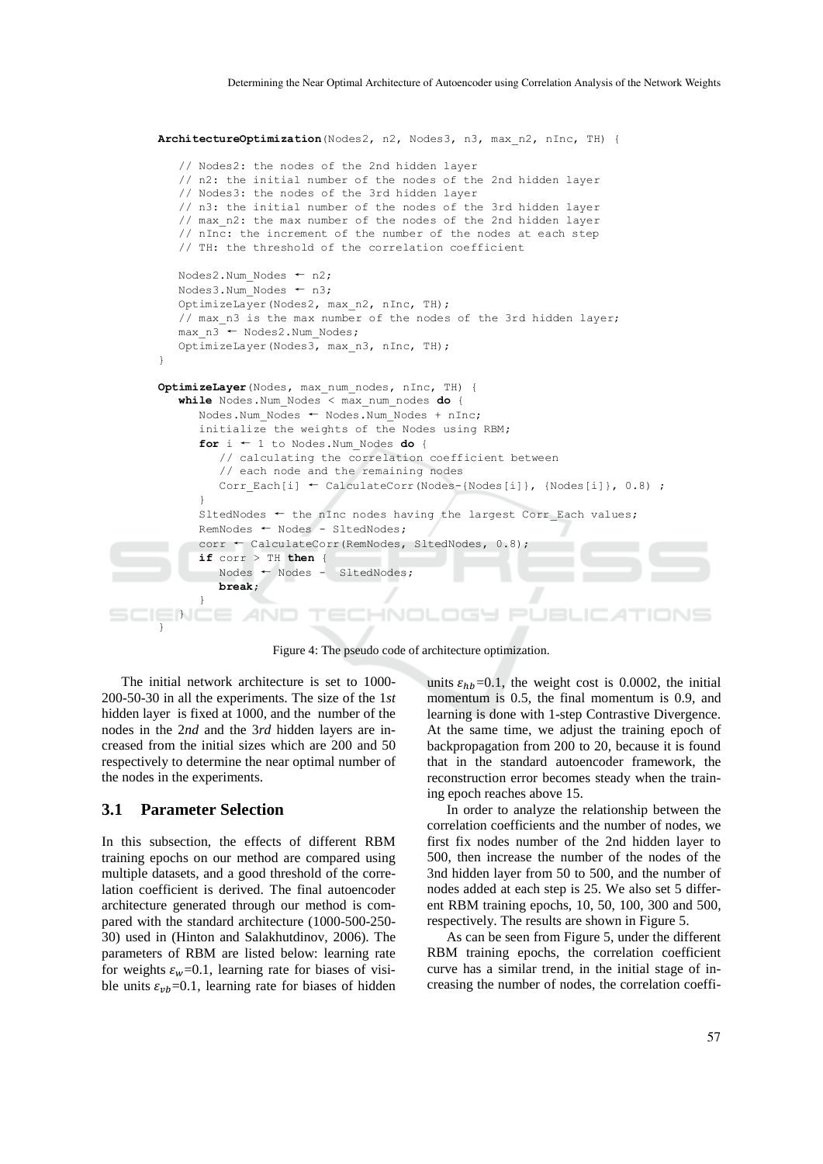```
Determining the Near Optimal Architecture of Autoencoder using Correlation Analysis of<br>ArchitectureOptimization(Nodes2, n2, Nodes3, n3, max_n2, nInc, TH) {
   rchitectureOptimization(Nodes2, n2, Nodes3, n3,<br>// Nodes2: the nodes of the 2nd hidden layer<br>// n2: the initial number of the nodes of the
   rchitectureOptimization(Nodes2, n2, Nodes3, n3, max_n2, nInc, TH)<br>// Nodes2: the nodes of the 2nd hidden layer<br>// n2: the initial number of the nodes of the 2nd hidden layer<br>// Nodes3: the nodes of the 3rd hidden layer
   rchitectureOptimization(Nodes2, n2, Nodes3, n3,<br>
// Nodes2: the nodes of the 2nd hidden layer<br>
// n2: the initial number of the nodes of the<br>
// Nodes3: the nodes of the 3rd hidden layer<br>
// n3: the initial number of the n
   // Nodes2: the nodes of the 2nd hidden layer<br>// n2: the initial number of the nodes of the 2nd hidden layer<br>// n3: the initial number of the nodes of the 2nd hidden layer<br>// n3: the initial number of the nodes of the 3rd h
   // Nodes2: the nodes of the 2nd hidden layer<br>// n2: the initial number of the nodes of the 2nd hidden layer<br>// Nodes3: the nodes of the 3rd hidden layer<br>// n3: the initial number of the nodes of the 3rd hidden layer<br>// max
   / nodes2. The initial number of the nodes of the 2nd hidden layer<br>// n2: the initial number of the nodes of the 2nd hidden layer<br>// n3: the initial number of the nodes of the 3rd hidden layer<br>// max_n2: the max_number of 
        // Nodes3: the nodes of the 3rd hidden layer<br>// n3: the initial number of the nodes of the 3rd hidden layer<br>// max_n2: the max number of the nodes of the 2nd hidden layer<br>// nInc: the increment of the number of the nodes a
// TH: the threshold of the correlation<br>Nodes2.Num_Nodes + n2;<br>Nodes3.Num_Nodes + n3;<br>OptimizeLayer(Nodes2, max_n2, nInc, TH);<br>// max n3 is the max number of the nodes
Nodes2.Num_Nodes \leftarrow n2;<br>Nodes3.Num_Nodes \leftarrow n3;<br>OptimizeLayer(Nodes2, max_r<br>// max_n3 is the max_number<br>max_n3 \leftarrow Nodes2.Num_Nodes;<br>OptimizeLayer(Nodes3, max r
        Nodes2.Num Nodes \leftarrow n2;
Nodes3.Num_Nodes + n3;<br>OptimizeLayer(Nodes2, max_n2, nInc, TH);<br>// max_n3 is the max number of the nodes<br>max_n3 + Nodes2.Num_Nodes;<br>OptimizeLayer(Nodes3, max_n3, nInc, TH);
        Nodes3.Num Nodes \leftarrow n3;
        // max_n 3 is the max number of the nodes of the 3rd hidden layer; max_n 3 \leftarrow Nodes2. Num Nodes;
max_n3 + Nodes2.Num_Nodes;<br>
OptimizeLayer(Nodes3, max_n3, nInc, TH);<br>
OptimizeLayer(Nodes, max_num_nodes, nInc, TH) {<br>
optimizeLayer(Nodes, max_num_nodes, nInc, TH) {<br>
while Nodes.Num Nodes < max_num_nodes do {
Modes.Num_Nodes.<br>
OptimizeLayer(Nodes, max_n3, nInc, TH);<br>
OptimizeLayer(Nodes, max_num_nodes, nInc, TH)<br>
while Nodes.Num_Nodes < max_num_nodes do {<br>
Nodes.Num Nodes ← Nodes.Num Nodes + nIn
Noting the College Chemistry of Managery (Nodes.Num_nodes, nInc, TH) {<br>
while Nodes.Num_Nodes < max_num_nodes do {<br>
Nodes.Num_Nodes ← Nodes.Num_Nodes + nInc;<br>
initialize the weights of the Nodes using
}
OptimizeLayer (Nodes, max_num_nodes, nInc<br>
while Nodes.Num_Nodes < max_num_nodes<br>
Nodes.Num_Nodes ← Nodes.Num_Nodes<br>
initialize the weights of the Node<br>
for i ← 1 to Nodes.Num_Nodes do {<br>
// calculating the correlation
initialize the weights of the Nodes using RBM;<br>
for i - 1 to Nodes.Num_Nodes do {<br>
// calculating the correlation coefficient between<br>
// each node and the remaining nodes<br>
Corr_Each[i] - CalculateCorr(Nodes-{Nodes[i]}, {N
                  initialize the weights of the Nodes using RBM;
                            // calculating the correlation coefficient between 
                            // each node and the remaining nodes 
Corr_Each[i] ← CalculateCorr(Nodes-{Nodes[i]},<br>}<br>SltedNodes ← the nInc nodes having the largest CorremNodes ← Nodes – SltedNodes;<br>corr ← CalculateCorr(RemNodes, SltedNodes, 0.8);<br>if corr > TH then {
SltedNodes ← the nI<br>
RemNodes ← Nodes –<br>
corr ← CalculateCor<br>
if corr > TH then {<br>
Nodes ← Nodes –
                   }
                 SltedNodes \leftarrow the nInc nodes having the largest Corr Each values;
RemNodes \leftarrow Nodes - SltedNodes;Nodes \leftarrow Nodes - SltedNodes; break;
 }
                                                                                              HNOL
\rightarrowogy
}
```
Figure 4: The pseudo code of architecture optimization.

The initial network architecture is set to 1000- 200-50-30 in all the experiments. The size of the 1*st* hidden layer is fixed at 1000, and the number of the nodes in the 2*nd* and the 3*rd* hidden layers are increased from the initial sizes which are 200 and 50 respectively to determine the near optimal number of the nodes in the experiments.

#### **3.1 Parameter Selection**

In this subsection, the effects of different RBM training epochs on our method are compared using multiple datasets, and a good threshold of the correlation coefficient is derived. The final autoencoder architecture generated through our method is compared with the standard architecture (1000-500-250- 30) used in (Hinton and Salakhutdinov, 2006). The parameters of RBM are listed below: learning rate for weights  $\varepsilon_w$ =0.1, learning rate for biases of visible units  $\varepsilon_{vb}$ =0.1, learning rate for biases of hidden

units  $\varepsilon_{hh}$ =0.1, the weight cost is 0.0002, the initial momentum is 0.5, the final momentum is 0.9, and learning is done with 1-step Contrastive Divergence. At the same time, we adjust the training epoch of backpropagation from 200 to 20, because it is found that in the standard autoencoder framework, the reconstruction error becomes steady when the training epoch reaches above 15.

In order to analyze the relationship between the correlation coefficients and the number of nodes, we first fix nodes number of the 2nd hidden layer to 500, then increase the number of the nodes of the 3nd hidden layer from 50 to 500, and the number of nodes added at each step is 25. We also set 5 different RBM training epochs, 10, 50, 100, 300 and 500, respectively. The results are shown in Figure 5.

As can be seen from Figure 5, under the different RBM training epochs, the correlation coefficient curve has a similar trend, in the initial stage of increasing the number of nodes, the correlation coeffi-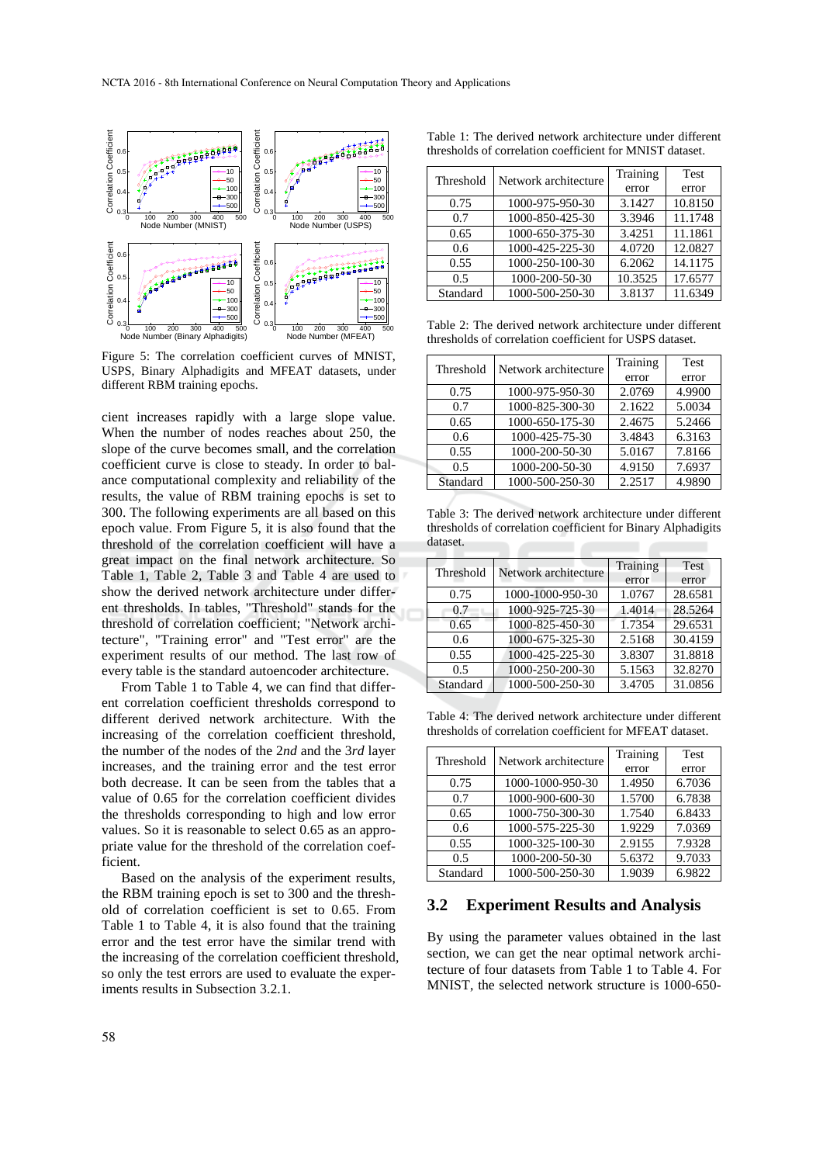

Figure 5: The correlation coefficient curves of MNIST, USPS, Binary Alphadigits and MFEAT datasets, under different RBM training epochs.

cient increases rapidly with a large slope value. When the number of nodes reaches about 250, the slope of the curve becomes small, and the correlation coefficient curve is close to steady. In order to balance computational complexity and reliability of the results, the value of RBM training epochs is set to 300. The following experiments are all based on this epoch value. From Figure 5, it is also found that the threshold of the correlation coefficient will have a great impact on the final network architecture. So Table 1, Table 2, Table 3 and Table 4 are used to show the derived network architecture under different thresholds. In tables, "Threshold" stands for the threshold of correlation coefficient; "Network architecture", "Training error" and "Test error" are the experiment results of our method. The last row of every table is the standard autoencoder architecture.

From Table 1 to Table 4, we can find that different correlation coefficient thresholds correspond to different derived network architecture. With the increasing of the correlation coefficient threshold, the number of the nodes of the 2*nd* and the 3*rd* layer increases, and the training error and the test error both decrease. It can be seen from the tables that a value of 0.65 for the correlation coefficient divides the thresholds corresponding to high and low error values. So it is reasonable to select 0.65 as an appropriate value for the threshold of the correlation coefficient.

Based on the analysis of the experiment results, the RBM training epoch is set to 300 and the threshold of correlation coefficient is set to 0.65. From Table 1 to Table 4, it is also found that the training error and the test error have the similar trend with the increasing of the correlation coefficient threshold, so only the test errors are used to evaluate the experiments results in Subsection 3.2.1.

| Table 1: The derived network architecture under different |  |
|-----------------------------------------------------------|--|
| thresholds of correlation coefficient for MNIST dataset.  |  |

| Threshold | Network architecture | Training | <b>Test</b> |
|-----------|----------------------|----------|-------------|
|           |                      | error    | error       |
| 0.75      | 1000-975-950-30      | 3.1427   | 10.8150     |
| 0.7       | 1000-850-425-30      | 3.3946   | 11.1748     |
| 0.65      | 1000-650-375-30      | 3.4251   | 11.1861     |
| 0.6       | 1000-425-225-30      | 4.0720   | 12.0827     |
| 0.55      | 1000-250-100-30      | 6.2062   | 14.1175     |
| 0.5       | 1000-200-50-30       | 10.3525  | 17.6577     |
| Standard  | 1000-500-250-30      | 3.8137   | 11.6349     |

Table 2: The derived network architecture under different thresholds of correlation coefficient for USPS dataset.

| Threshold | Network architecture | Training | <b>Test</b> |
|-----------|----------------------|----------|-------------|
|           |                      | error    | error       |
| 0.75      | 1000-975-950-30      | 2.0769   | 4.9900      |
| 0.7       | 1000-825-300-30      | 2.1622   | 5.0034      |
| 0.65      | 1000-650-175-30      | 2.4675   | 5.2466      |
| 0.6       | 1000-425-75-30       | 3.4843   | 6.3163      |
| 0.55      | 1000-200-50-30       | 5.0167   | 7.8166      |
| 0.5       | 1000-200-50-30       | 4.9150   | 7.6937      |
| Standard  | 1000-500-250-30      | 2.2517   | 4.9890      |

Table 3: The derived network architecture under different thresholds of correlation coefficient for Binary Alphadigits dataset.

| Threshold | Network architecture | Training | <b>Test</b> |
|-----------|----------------------|----------|-------------|
|           |                      | error    | error       |
| 0.75      | 1000-1000-950-30     | 1.0767   | 28.6581     |
| 0.7       | 1000-925-725-30      | 1.4014   | 28.5264     |
| 0.65      | 1000-825-450-30      | 1.7354   | 29.6531     |
| 0.6       | 1000-675-325-30      | 2.5168   | 30.4159     |
| 0.55      | 1000-425-225-30      | 3.8307   | 31.8818     |
| 0.5       | 1000-250-200-30      | 5.1563   | 32.8270     |
| Standard  | 1000-500-250-30      | 3.4705   | 31.0856     |

Table 4: The derived network architecture under different thresholds of correlation coefficient for MFEAT dataset.

| Threshold | Network architecture | Training | <b>Test</b> |
|-----------|----------------------|----------|-------------|
|           |                      | error    | error       |
| 0.75      | 1000-1000-950-30     | 1.4950   | 6.7036      |
| 0.7       | 1000-900-600-30      | 1.5700   | 6.7838      |
| 0.65      | 1000-750-300-30      | 1.7540   | 6.8433      |
| 0.6       | 1000-575-225-30      | 1.9229   | 7.0369      |
| 0.55      | 1000-325-100-30      | 2.9155   | 7.9328      |
| 0.5       | 1000-200-50-30       | 5.6372   | 9.7033      |
| Standard  | 1000-500-250-30      | 1.9039   | 6.9822      |

#### **3.2 Experiment Results and Analysis**

By using the parameter values obtained in the last section, we can get the near optimal network architecture of four datasets from Table 1 to Table 4. For MNIST, the selected network structure is 1000-650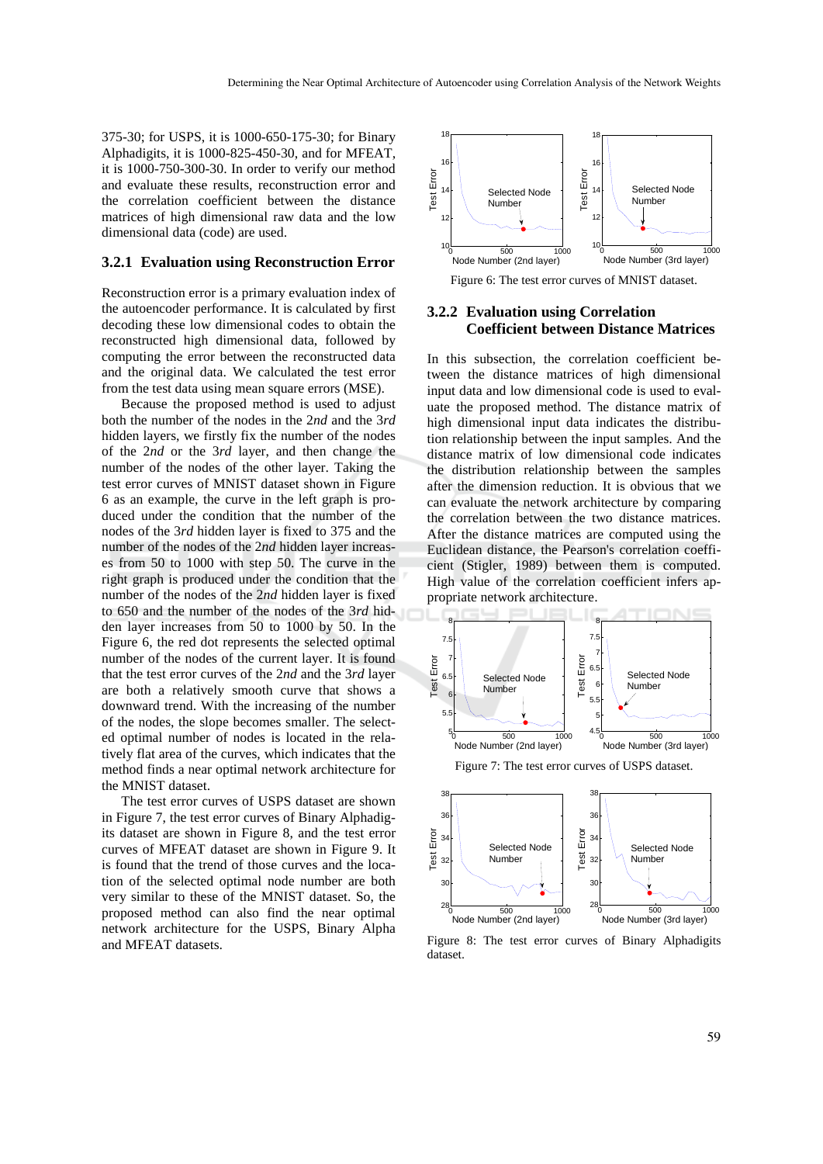375-30; for USPS, it is 1000-650-175-30; for Binary Alphadigits, it is 1000-825-450-30, and for MFEAT, it is 1000-750-300-30. In order to verify our method and evaluate these results, reconstruction error and the correlation coefficient between the distance matrices of high dimensional raw data and the low dimensional data (code) are used.

#### **3.2.1 Evaluation using Reconstruction Error**

Reconstruction error is a primary evaluation index of the autoencoder performance. It is calculated by first decoding these low dimensional codes to obtain the reconstructed high dimensional data, followed by computing the error between the reconstructed data and the original data. We calculated the test error from the test data using mean square errors (MSE).

Because the proposed method is used to adjust both the number of the nodes in the 2*nd* and the 3*rd* hidden layers, we firstly fix the number of the nodes of the 2*nd* or the 3*rd* layer, and then change the number of the nodes of the other layer. Taking the test error curves of MNIST dataset shown in Figure 6 as an example, the curve in the left graph is produced under the condition that the number of the nodes of the 3*rd* hidden layer is fixed to 375 and the number of the nodes of the 2*nd* hidden layer increases from 50 to 1000 with step 50. The curve in the right graph is produced under the condition that the number of the nodes of the 2*nd* hidden layer is fixed to 650 and the number of the nodes of the 3*rd* hidden layer increases from 50 to 1000 by 50. In the Figure 6, the red dot represents the selected optimal number of the nodes of the current layer. It is found that the test error curves of the 2*nd* and the 3*rd* layer are both a relatively smooth curve that shows a downward trend. With the increasing of the number of the nodes, the slope becomes smaller. The selected optimal number of nodes is located in the relatively flat area of the curves, which indicates that the method finds a near optimal network architecture for the MNIST dataset.

The test error curves of USPS dataset are shown in Figure 7, the test error curves of Binary Alphadigits dataset are shown in Figure 8, and the test error curves of MFEAT dataset are shown in Figure 9. It is found that the trend of those curves and the location of the selected optimal node number are both very similar to these of the MNIST dataset. So, the proposed method can also find the near optimal network architecture for the USPS, Binary Alpha and MFEAT datasets.



Figure 6: The test error curves of MNIST dataset.

#### **3.2.2 Evaluation using Correlation Coefficient between Distance Matrices**

In this subsection, the correlation coefficient between the distance matrices of high dimensional input data and low dimensional code is used to evaluate the proposed method. The distance matrix of high dimensional input data indicates the distribution relationship between the input samples. And the distance matrix of low dimensional code indicates the distribution relationship between the samples after the dimension reduction. It is obvious that we can evaluate the network architecture by comparing the correlation between the two distance matrices. After the distance matrices are computed using the Euclidean distance, the Pearson's correlation coefficient (Stigler, 1989) between them is computed. High value of the correlation coefficient infers appropriate network architecture.



Figure 7: The test error curves of USPS dataset.



Figure 8: The test error curves of Binary Alphadigits dataset.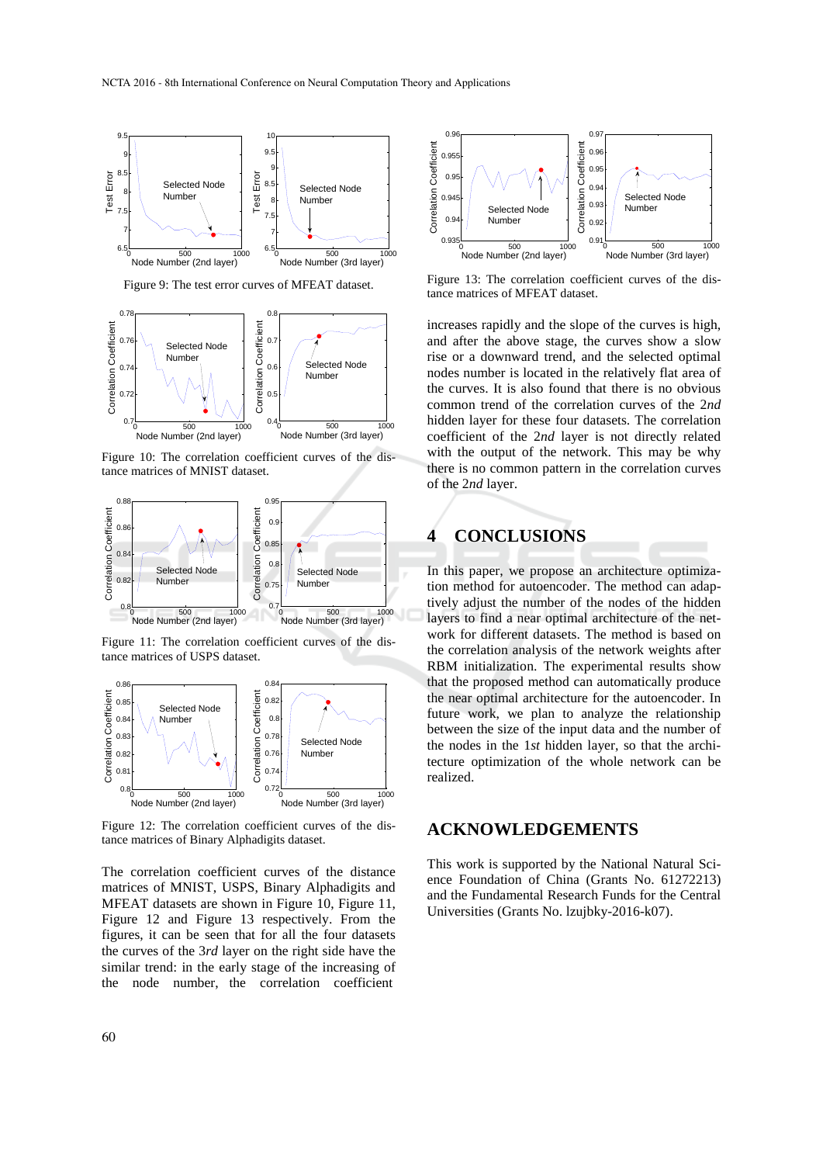

Figure 9: The test error curves of MFEAT dataset.



Figure 10: The correlation coefficient curves of the distance matrices of MNIST dataset.



Figure 11: The correlation coefficient curves of the distance matrices of USPS dataset.



Figure 12: The correlation coefficient curves of the distance matrices of Binary Alphadigits dataset.

The correlation coefficient curves of the distance matrices of MNIST, USPS, Binary Alphadigits and MFEAT datasets are shown in Figure 10, Figure 11, Figure 12 and Figure 13 respectively. From the figures, it can be seen that for all the four datasets the curves of the 3*rd* layer on the right side have the similar trend: in the early stage of the increasing of the node number, the correlation coefficient



Figure 13: The correlation coefficient curves of the distance matrices of MFEAT dataset.

increases rapidly and the slope of the curves is high, and after the above stage, the curves show a slow rise or a downward trend, and the selected optimal nodes number is located in the relatively flat area of the curves. It is also found that there is no obvious common trend of the correlation curves of the 2*nd* hidden layer for these four datasets. The correlation coefficient of the 2*nd* layer is not directly related with the output of the network. This may be why there is no common pattern in the correlation curves of the 2*nd* layer.

## **4 CONCLUSIONS**

In this paper, we propose an architecture optimization method for autoencoder. The method can adaptively adjust the number of the nodes of the hidden layers to find a near optimal architecture of the network for different datasets. The method is based on the correlation analysis of the network weights after RBM initialization. The experimental results show that the proposed method can automatically produce the near optimal architecture for the autoencoder. In future work, we plan to analyze the relationship between the size of the input data and the number of the nodes in the 1*st* hidden layer, so that the architecture optimization of the whole network can be realized.

#### **ACKNOWLEDGEMENTS**

This work is supported by the National Natural Science Foundation of China (Grants No. 61272213) and the Fundamental Research Funds for the Central Universities (Grants No. lzujbky-2016-k07).